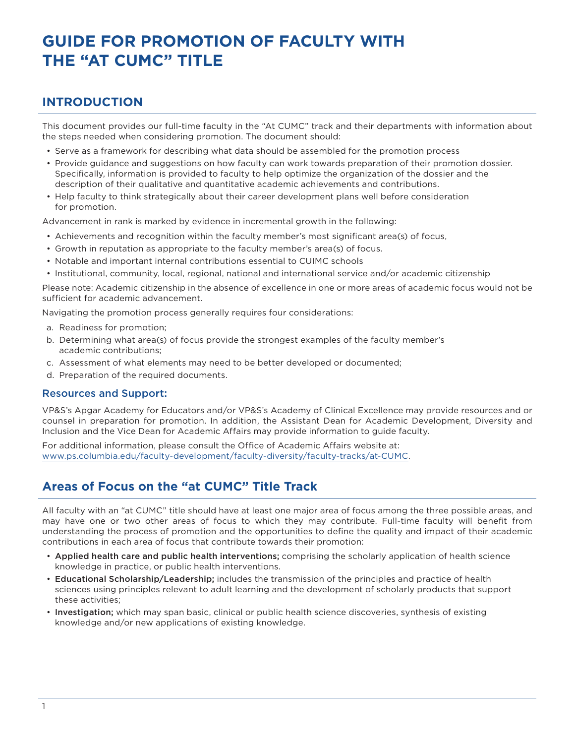# **GUIDE FOR PROMOTION OF FACULTY WITH THE "AT CUMC" TITLE**

## **INTRODUCTION**

This document provides our full-time faculty in the "At CUMC" track and their departments with information about the steps needed when considering promotion. The document should:

- Serve as a framework for describing what data should be assembled for the promotion process
- Provide guidance and suggestions on how faculty can work towards preparation of their promotion dossier. Specifically, information is provided to faculty to help optimize the organization of the dossier and the description of their qualitative and quantitative academic achievements and contributions.
- Help faculty to think strategically about their career development plans well before consideration for promotion.

Advancement in rank is marked by evidence in incremental growth in the following:

- Achievements and recognition within the faculty member's most significant area(s) of focus,
- Growth in reputation as appropriate to the faculty member's area(s) of focus.
- Notable and important internal contributions essential to CUIMC schools
- Institutional, community, local, regional, national and international service and/or academic citizenship

Please note: Academic citizenship in the absence of excellence in one or more areas of academic focus would not be sufficient for academic advancement.

Navigating the promotion process generally requires four considerations:

- a. Readiness for promotion;
- b. Determining what area(s) of focus provide the strongest examples of the faculty member's academic contributions;
- c. Assessment of what elements may need to be better developed or documented;
- d. Preparation of the required documents.

### Resources and Support:

VP&S's Apgar Academy for Educators and/or VP&S's Academy of Clinical Excellence may provide resources and or counsel in preparation for promotion. In addition, the Assistant Dean for Academic Development, Diversity and Inclusion and the Vice Dean for Academic Affairs may provide information to guide faculty.

For additional information, please consult the Office of Academic Affairs website at: [www.ps.columbia.edu/faculty-development/faculty-diversity/faculty-tracks/at-CUMC](http://www.ps.columbia.edu/faculty-development/faculty-diversity/faculty-tracks/at-CUMC).

## **Areas of Focus on the "at CUMC" Title Track**

All faculty with an "at CUMC" title should have at least one major area of focus among the three possible areas, and may have one or two other areas of focus to which they may contribute. Full-time faculty will benefit from understanding the process of promotion and the opportunities to define the quality and impact of their academic contributions in each area of focus that contribute towards their promotion:

- Applied health care and public health interventions; comprising the scholarly application of health science knowledge in practice, or public health interventions.
- Educational Scholarship/Leadership; includes the transmission of the principles and practice of health sciences using principles relevant to adult learning and the development of scholarly products that support these activities;
- Investigation; which may span basic, clinical or public health science discoveries, synthesis of existing knowledge and/or new applications of existing knowledge.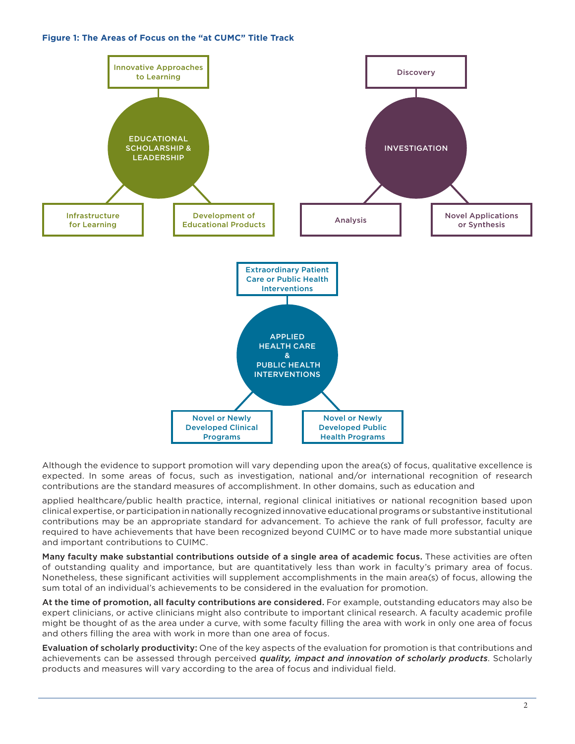#### **Figure 1: The Areas of Focus on the "at CUMC" Title Track**



Although the evidence to support promotion will vary depending upon the area(s) of focus, qualitative excellence is expected. In some areas of focus, such as investigation, national and/or international recognition of research contributions are the standard measures of accomplishment. In other domains, such as education and

applied healthcare/public health practice, internal, regional clinical initiatives or national recognition based upon clinical expertise, or participation in nationally recognized innovative educational programs or substantive institutional contributions may be an appropriate standard for advancement. To achieve the rank of full professor, faculty are required to have achievements that have been recognized beyond CUIMC or to have made more substantial unique and important contributions to CUIMC.

Many faculty make substantial contributions outside of a single area of academic focus. These activities are often of outstanding quality and importance, but are quantitatively less than work in faculty's primary area of focus. Nonetheless, these significant activities will supplement accomplishments in the main area(s) of focus, allowing the sum total of an individual's achievements to be considered in the evaluation for promotion.

At the time of promotion, all faculty contributions are considered. For example, outstanding educators may also be expert clinicians, or active clinicians might also contribute to important clinical research. A faculty academic profile might be thought of as the area under a curve, with some faculty filling the area with work in only one area of focus and others filling the area with work in more than one area of focus.

Evaluation of scholarly productivity: One of the key aspects of the evaluation for promotion is that contributions and achievements can be assessed through perceived *quality, impact and innovation of scholarly products*. Scholarly products and measures will vary according to the area of focus and individual field.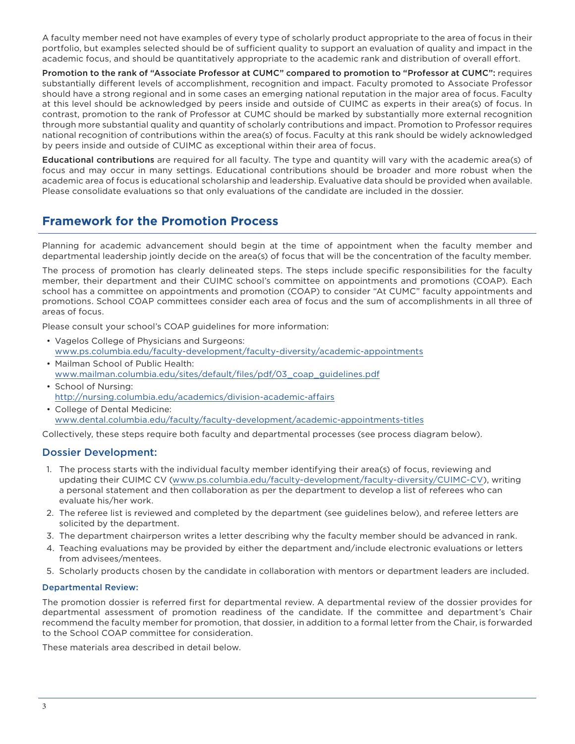A faculty member need not have examples of every type of scholarly product appropriate to the area of focus in their portfolio, but examples selected should be of sufficient quality to support an evaluation of quality and impact in the academic focus, and should be quantitatively appropriate to the academic rank and distribution of overall effort.

Promotion to the rank of "Associate Professor at CUMC" compared to promotion to "Professor at CUMC": requires substantially different levels of accomplishment, recognition and impact. Faculty promoted to Associate Professor should have a strong regional and in some cases an emerging national reputation in the major area of focus. Faculty at this level should be acknowledged by peers inside and outside of CUIMC as experts in their area(s) of focus. In contrast, promotion to the rank of Professor at CUMC should be marked by substantially more external recognition through more substantial quality and quantity of scholarly contributions and impact. Promotion to Professor requires national recognition of contributions within the area(s) of focus. Faculty at this rank should be widely acknowledged by peers inside and outside of CUIMC as exceptional within their area of focus.

Educational contributions are required for all faculty. The type and quantity will vary with the academic area(s) of focus and may occur in many settings. Educational contributions should be broader and more robust when the academic area of focus is educational scholarship and leadership.Evaluative data should be provided when available. Please consolidate evaluations so that only evaluations of the candidate are included in the dossier.

## **Framework for the Promotion Process**

Planning for academic advancement should begin at the time of appointment when the faculty member and departmental leadership jointly decide on the area(s) of focus that will be the concentration of the faculty member.

The process of promotion has clearly delineated steps. The steps include specific responsibilities for the faculty member, their department and their CUIMC school's committee on appointments and promotions (COAP). Each school has a committee on appointments and promotion (COAP) to consider "At CUMC" faculty appointments and promotions. School COAP committees consider each area of focus and the sum of accomplishments in all three of areas of focus.

Please consult your school's COAP guidelines for more information:

- Vagelos College of Physicians and Surgeons: [www.ps.columbia.edu/faculty-development/faculty-diversity/academic-appointments](http://www.ps.columbia.edu/faculty-development/faculty-diversity/academic-appointments)
- Mailman School of Public Health: [www.mailman.columbia.edu/sites/default/files/pdf/03\\_coap\\_guidelines.pdf](http://www.mailman.columbia.edu/sites/default/files/pdf/03_coap_guidelines.pdf)
- School of Nursing: <http://nursing.columbia.edu/academics/division-academic-affairs>
- College of Dental Medicine: [www.dental.columbia.edu/faculty/faculty-development/academic-appointments-titles](http://www.dental.columbia.edu/faculty/faculty-development/academic-appointments-titles)

Collectively, these steps require both faculty and departmental processes (see process diagram below).

## Dossier Development:

- 1. The process starts with the individual faculty member identifying their area(s) of focus, reviewing and updating their CUIMC CV [\(www.ps.columbia.edu/faculty-development/faculty-diversity/CUIMC-CV\)](http://www.ps.columbia.edu/faculty-development/faculty-diversity/CUIMC-CV), writing a personal statement and then collaboration as per the department to develop a list of referees who can evaluate his/her work.
- 2. The referee list is reviewed and completed by the department (see guidelines below), and referee letters are solicited by the department.
- 3. The department chairperson writes a letter describing why the faculty member should be advanced in rank.
- 4. Teaching evaluations may be provided by either the department and/include electronic evaluations or letters from advisees/mentees.
- 5. Scholarly products chosen by the candidate in collaboration with mentors or department leaders are included.

#### Departmental Review:

The promotion dossier is referred first for departmental review. A departmental review of the dossier provides for departmental assessment of promotion readiness of the candidate.If the committee and department's Chair recommend the faculty member for promotion, that dossier, in addition to a formal letter from the Chair, is forwarded to the School COAP committee for consideration.

These materials area described in detail below.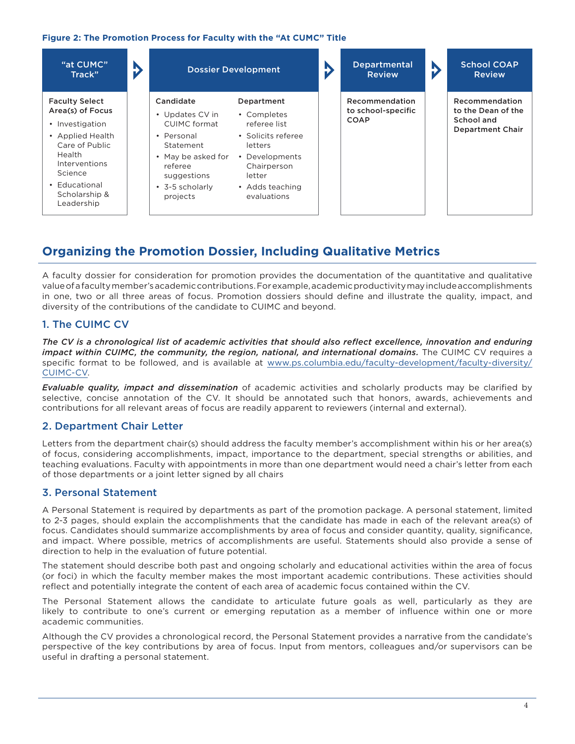#### **Figure 2: The Promotion Process for Faculty with the "At CUMC" Title**

| "at CUMC"<br>Track"                                                                                                                                                                                        | Đ | <b>Dossier Development</b>                                                                                                                             |                                                                                                                                                         | <b>Departmental</b><br><b>Review</b>                | b | <b>School COAP</b><br><b>Review</b>                                           |
|------------------------------------------------------------------------------------------------------------------------------------------------------------------------------------------------------------|---|--------------------------------------------------------------------------------------------------------------------------------------------------------|---------------------------------------------------------------------------------------------------------------------------------------------------------|-----------------------------------------------------|---|-------------------------------------------------------------------------------|
| <b>Faculty Select</b><br>Area(s) of Focus<br>Investigation<br>$\bullet$<br>• Applied Health<br>Care of Public<br><b>Health</b><br>Interventions<br>Science<br>• Educational<br>Scholarship &<br>Leadership |   | Candidate<br>• Updates CV in<br>CUIMC format<br>• Personal<br>Statement<br>• May be asked for<br>referee<br>suggestions<br>• 3-5 scholarly<br>projects | Department<br>• Completes<br>referee list<br>• Solicits referee<br>letters<br>• Developments<br>Chairperson<br>letter<br>• Adds teaching<br>evaluations | Recommendation<br>to school-specific<br><b>COAP</b> |   | Recommendation<br>to the Dean of the<br>School and<br><b>Department Chair</b> |

## **Organizing the Promotion Dossier, Including Qualitative Metrics**

A faculty dossier for consideration for promotion provides the documentation of the quantitative and qualitative value of a faculty member's academic contributions. For example, academic productivity may include accomplishments in one, two or all three areas of focus. Promotion dossiers should define and illustrate the quality, impact, and diversity of the contributions of the candidate to CUIMC and beyond.

## 1. The CUIMC CV

*The CV is a chronological list of academic activities that should also reflect excellence, innovation and enduring impact within CUIMC, the community, the region, national, and international domains.* The CUIMC CV requires a specific format to be followed, and is available at [www.ps.columbia.edu/faculty-development/faculty-diversity/](http://www.ps.columbia.edu/faculty-development/faculty-diversity/CUIMC-CV) [CUIMC-CV](http://www.ps.columbia.edu/faculty-development/faculty-diversity/CUIMC-CV).

*Evaluable quality, impact and dissemination* of academic activities and scholarly products may be clarified by selective, concise annotation of the CV. It should be annotated such that honors, awards, achievements and contributions for all relevant areas of focus are readily apparent to reviewers (internal and external).

## 2. Department Chair Letter

Letters from the department chair(s) should address the faculty member's accomplishment within his or her area(s) of focus, considering accomplishments, impact, importance to the department, special strengths or abilities, and teaching evaluations. Faculty with appointments in more than one department would need a chair's letter from each of those departments or a joint letter signed by all chairs

## 3. Personal Statement

A Personal Statement is required by departments as part of the promotion package. A personal statement, limited to 2-3 pages, should explain the accomplishments that the candidate has made in each of the relevant area(s) of focus. Candidates should summarize accomplishments by area of focus and consider quantity, quality, significance, and impact. Where possible, metrics of accomplishments are useful. Statements should also provide a sense of direction to help in the evaluation of future potential.

The statement should describe both past and ongoing scholarly and educational activities within the area of focus (or foci) in which the faculty member makes the most important academic contributions. These activities should reflect and potentially integrate the content of each area of academic focus contained within the CV.

The Personal Statement allows the candidate to articulate future goals as well, particularly as they are likely to contribute to one's current or emerging reputation as a member of influence within one or more academic communities.

Although the CV provides a chronological record, the Personal Statement provides a narrative from the candidate's perspective of the key contributions by area of focus. Input from mentors, colleagues and/or supervisors can be useful in drafting a personal statement.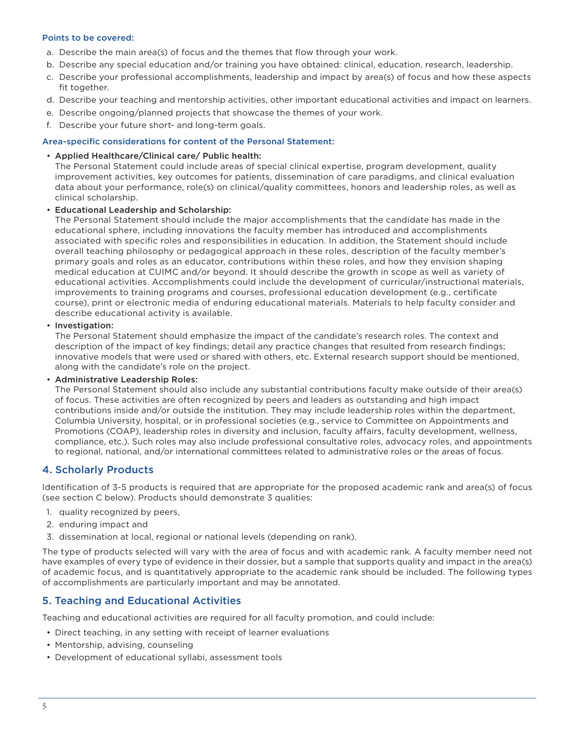#### Points to be covered:

- a. Describe the main area(s) of focus and the themes that flow through your work.
- b. Describe any special education and/or training you have obtained: clinical, education, research, leadership.
- c. Describe your professional accomplishments, leadership and impact by area(s) of focus and how these aspects fit together.
- d. Describe your teaching and mentorship activities, other important educational activities and impact on learners.
- e. Describe ongoing/planned projects that showcase the themes of your work.
- f. Describe your future short- and long-term goals.

#### Area-specific considerations for content of the Personal Statement:

#### • Applied Healthcare/Clinical care/ Public health:

The Personal Statement could include areas of special clinical expertise, program development, quality improvement activities, key outcomes for patients, dissemination of care paradigms, and clinical evaluation data about your performance, role(s) on clinical/quality committees, honors and leadership roles, as well as clinical scholarship.

#### • Educational Leadership and Scholarship:

The Personal Statement should include the major accomplishments that the candidate has made in the educational sphere, including innovations the faculty member has introduced and accomplishments associated with specific roles and responsibilities in education. In addition, the Statement should include overall teaching philosophy or pedagogical approach in these roles, description of the faculty member's primary goals and roles as an educator, contributions within these roles, and how they envision shaping medical education at CUIMC and/or beyond. It should describe the growth in scope as well as variety of educational activities. Accomplishments could include the development of curricular/instructional materials, improvements to training programs and courses, professional education development (e.g., certificate course), print or electronic media of enduring educational materials. Materials to help faculty consider and describe educational activity is available.

#### • Investigation:

The Personal Statement should emphasize the impact of the candidate's research roles. The context and description of the impact of key findings; detail any practice changes that resulted from research findings; innovative models that were used or shared with others, etc. External research support should be mentioned, along with the candidate's role on the project.

#### • Administrative Leadership Roles:

The Personal Statement should also include any substantial contributions faculty make outside of their area(s) of focus. These activities are often recognized by peers and leaders as outstanding and high impact contributions inside and/or outside the institution. They may include leadership roles within the department, Columbia University, hospital, or in professional societies (e.g., service to Committee on Appointments and Promotions (COAP), leadership roles in diversity and inclusion, faculty affairs, faculty development, wellness, compliance, etc.). Such roles may also include professional consultative roles, advocacy roles, and appointments to regional, national, and/or international committees related to administrative roles or the areas of focus.

### 4. Scholarly Products

Identification of 3-5 products is required that are appropriate for the proposed academic rank and area(s) of focus (see section C below). Products should demonstrate 3 qualities:

- 1. quality recognized by peers,
- 2. enduring impact and
- 3. dissemination at local, regional or national levels (depending on rank).

The type of products selected will vary with the area of focus and with academic rank. A faculty member need not have examples of every type of evidence in their dossier, but a sample that supports quality and impact in the area(s) of academic focus, and is quantitatively appropriate to the academic rank should be included. The following types of accomplishments are particularly important and may be annotated.

### 5. Teaching and Educational Activities

Teaching and educational activities are required for all faculty promotion, and could include:

- Direct teaching, in any setting with receipt of learner evaluations
- Mentorship, advising, counseling
- Development of educational syllabi, assessment tools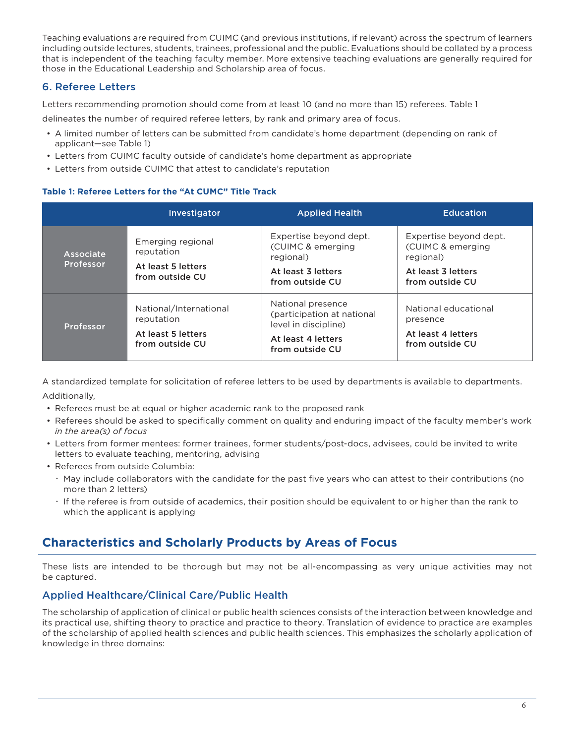Teaching evaluations are required from CUIMC (and previous institutions, if relevant) across the spectrum of learners including outside lectures, students, trainees, professional and the public.Evaluations should be collated by a process that is independent of the teaching faculty member. More extensive teaching evaluations are generally required for those in the Educational Leadership and Scholarship area of focus.

## 6. Referee Letters

Letters recommending promotion should come from at least 10 (and no more than 15) referees. Table 1

delineates the number of required referee letters, by rank and primary area of focus.

- A limited number of letters can be submitted from candidate's home department (depending on rank of applicant—see Table 1)
- Letters from CUIMC faculty outside of candidate's home department as appropriate
- Letters from outside CUIMC that attest to candidate's reputation

### **Table 1: Referee Letters for the "At CUMC" Title Track**

|                        | <b>Investigator</b>                                                           | <b>Applied Health</b>                                                                                            | <b>Education</b>                                                                                  |
|------------------------|-------------------------------------------------------------------------------|------------------------------------------------------------------------------------------------------------------|---------------------------------------------------------------------------------------------------|
| Associate<br>Professor | Emerging regional<br>reputation<br>At least 5 letters<br>from outside CU      | Expertise beyond dept.<br>(CUIMC & emerging<br>regional)<br>At least 3 letters<br>from outside CU                | Expertise beyond dept.<br>(CUIMC & emerging<br>regional)<br>At least 3 letters<br>from outside CU |
| Professor              | National/International<br>reputation<br>At least 5 letters<br>from outside CU | National presence<br>(participation at national<br>level in discipline)<br>At least 4 letters<br>from outside CU | National educational<br>presence<br>At least 4 letters<br>from outside CU                         |

A standardized template for solicitation of referee letters to be used by departments is available to departments. Additionally,

- Referees must be at equal or higher academic rank to the proposed rank
- Referees should be asked to specifically comment on quality and enduring impact of the faculty member's work *in the area(s) of focus*
- Letters from former mentees: former trainees, former students/post-docs, advisees, could be invited to write letters to evaluate teaching, mentoring, advising
- Referees from outside Columbia:
	- x May include collaborators with the candidate for the past five years who can attest to their contributions (no more than 2 letters)
	- x If the referee is from outside of academics, their position should be equivalent to or higher than the rank to which the applicant is applying

## **Characteristics and Scholarly Products by Areas of Focus**

These lists are intended to be thorough but may not be all-encompassing as very unique activities may not be captured.

## Applied Healthcare/Clinical Care/Public Health

The scholarship of application of clinical or public health sciences consists of the interaction between knowledge and its practical use, shifting theory to practice and practice to theory. Translation of evidence to practice are examples of the scholarship of applied health sciences and public health sciences.This emphasizes the scholarly application of knowledge in three domains: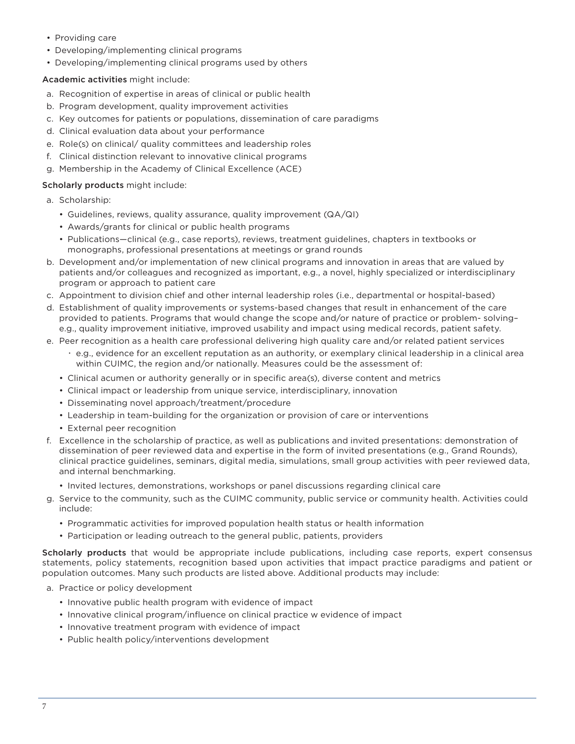- Providing care
- Developing/implementing clinical programs
- Developing/implementing clinical programs used by others

#### Academic activities might include:

- a. Recognition of expertise in areas of clinical or public health
- b. Program development, quality improvement activities
- c. Key outcomes for patients or populations, dissemination of care paradigms
- d. Clinical evaluation data about your performance
- e. Role(s) on clinical/ quality committees and leadership roles
- f. Clinical distinction relevant to innovative clinical programs
- g. Membership in the Academy of Clinical Excellence (ACE)

#### Scholarly products might include:

- a. Scholarship:
	- Guidelines, reviews, quality assurance, quality improvement (QA/QI)
	- Awards/grants for clinical or public health programs
	- Publications—clinical (e.g., case reports), reviews, treatment guidelines, chapters in textbooks or monographs, professional presentations at meetings or grand rounds
- b. Development and/or implementation of new clinical programs and innovation in areas that are valued by patients and/or colleagues and recognized as important, e.g., a novel, highly specialized or interdisciplinary program or approach to patient care
- c. Appointment to division chief and other internal leadership roles (i.e., departmental or hospital-based)
- d. Establishment of quality improvements or systems-based changes that result in enhancement of the care provided to patients. Programs that would change the scope and/or nature of practice or problem- solving– e.g., quality improvement initiative, improved usability and impact using medical records, patient safety.
- e. Peer recognition as a health care professional delivering high quality care and/or related patient services
	- x e.g., evidence for an excellent reputation as an authority, or exemplary clinical leadership in a clinical area within CUIMC, the region and/or nationally. Measures could be the assessment of:
	- Clinical acumen or authority generally or in specific area(s), diverse content and metrics
	- Clinical impact or leadership from unique service, interdisciplinary, innovation
	- Disseminating novel approach/treatment/procedure
	- Leadership in team-building for the organization or provision of care or interventions
	- External peer recognition
- f. Excellence in the scholarship of practice, as well as publications and invited presentations: demonstration of dissemination of peer reviewed data and expertise in the form of invited presentations (e.g., Grand Rounds), clinical practice guidelines, seminars, digital media, simulations, small group activities with peer reviewed data, and internal benchmarking.
	- Invited lectures, demonstrations, workshops or panel discussions regarding clinical care
- g. Service to the community, such as the CUIMC community, public service or community health. Activities could include:
	- Programmatic activities for improved population health status or health information
	- Participation or leading outreach to the general public, patients, providers

Scholarly products that would be appropriate include publications, including case reports, expert consensus statements, policy statements, recognition based upon activities that impact practice paradigms and patient or population outcomes. Many such products are listed above. Additional products may include:

- a. Practice or policy development
	- Innovative public health program with evidence of impact
	- Innovative clinical program/influence on clinical practice w evidence of impact
	- Innovative treatment program with evidence of impact
	- Public health policy/interventions development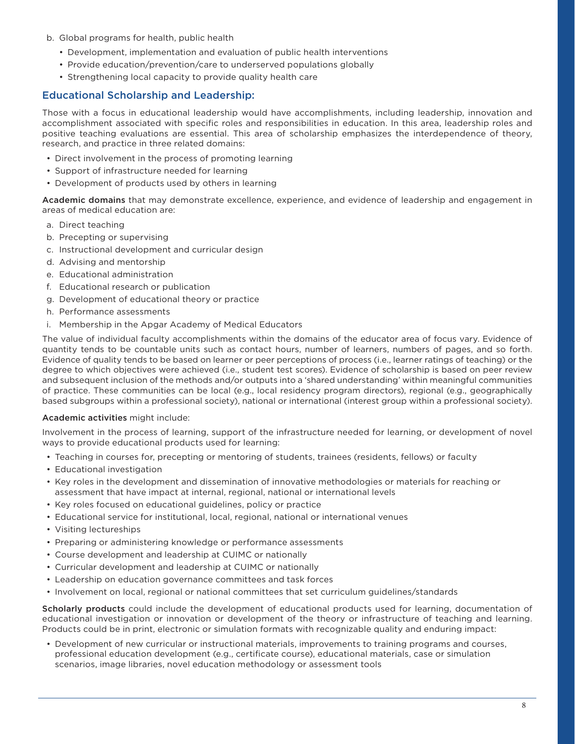- b. Global programs for health, public health
	- Development, implementation and evaluation of public health interventions
	- Provide education/prevention/care to underserved populations globally
	- Strengthening local capacity to provide quality health care

### Educational Scholarship and Leadership:

Those with a focus in educational leadership would have accomplishments, including leadership, innovation and accomplishment associated with specific roles and responsibilities in education. In this area, leadership roles and positive teaching evaluations are essential. This area of scholarship emphasizes the interdependence of theory, research, and practice in three related domains:

- Direct involvement in the process of promoting learning
- Support of infrastructure needed for learning
- Development of products used by others in learning

Academic domains that may demonstrate excellence, experience, and evidence of leadership and engagement in areas of medical education are:

- a. Direct teaching
- b. Precepting or supervising
- c. Instructional development and curricular design
- d. Advising and mentorship
- e. Educational administration
- f. Educational research or publication
- g. Development of educational theory or practice
- h. Performance assessments
- i. Membership in the Apgar Academy of Medical Educators

The value of individual faculty accomplishments within the domains of the educator area of focus vary.Evidence of quantity tends to be countable units such as contact hours, number of learners, numbers of pages, and so forth. Evidence of quality tends to be based on learner or peer perceptions of process (i.e., learner ratings of teaching) or the degree to which objectives were achieved (i.e., student test scores).Evidence of scholarship is based on peer review and subsequent inclusion of the methods and/or outputs into a 'shared understanding' within meaningful communities of practice. These communities can be local (e.g., local residency program directors), regional (e.g., geographically based subgroups within a professional society), national or international (interest group within a professional society).

#### Academic activities might include:

Involvement in the process of learning, support of the infrastructure needed for learning, or development of novel ways to provide educational products used for learning:

- Teaching in courses for, precepting or mentoring of students, trainees (residents, fellows) or faculty
- Educational investigation
- Key roles in the development and dissemination of innovative methodologies or materials for reaching or assessment that have impact at internal, regional, national or international levels
- Key roles focused on educational guidelines, policy or practice
- Educational service for institutional, local, regional, national or international venues
- Visiting lectureships
- Preparing or administering knowledge or performance assessments
- Course development and leadership at CUIMC or nationally
- Curricular development and leadership at CUIMC or nationally
- Leadership on education governance committees and task forces
- Involvement on local, regional or national committees that set curriculum guidelines/standards

Scholarly products could include the development of educational products used for learning, documentation of educational investigation or innovation or development of the theory or infrastructure of teaching and learning. Products could be in print, electronic or simulation formats with recognizable quality and enduring impact:

• Development of new curricular or instructional materials, improvements to training programs and courses, professional education development (e.g., certificate course), educational materials, case or simulation scenarios, image libraries, novel education methodology or assessment tools